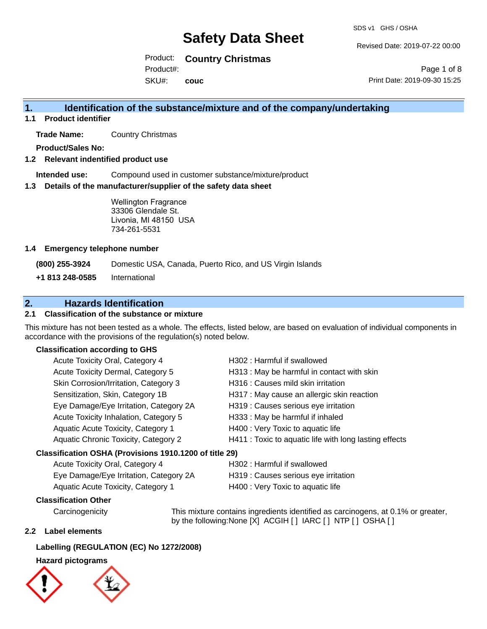Revised Date: 2019-07-22 00:00

Page 1 of 8

Product: **Country Christmas**

Product#:

SKU#: **couc** Print Date: 2019-09-30 15:25

### **1. Identification of the substance/mixture and of the company/undertaking**

**1.1 Product identifier**

**Trade Name:** Country Christmas

**Product/Sales No:**

#### **1.2 Relevant indentified product use**

**Intended use:** Compound used in customer substance/mixture/product

#### **1.3 Details of the manufacturer/supplier of the safety data sheet**

Wellington Fragrance 33306 Glendale St. Livonia, MI 48150 USA 734-261-5531

#### **1.4 Emergency telephone number**

**(800) 255-3924** Domestic USA, Canada, Puerto Rico, and US Virgin Islands

**+1 813 248-0585** International

### **2. Hazards Identification**

#### **2.1 Classification of the substance or mixture**

This mixture has not been tested as a whole. The effects, listed below, are based on evaluation of individual components in accordance with the provisions of the regulation(s) noted below.

#### **Classification according to GHS**

| Acute Toxicity Oral, Category 4                        | H302: Harmful if swallowed                             |
|--------------------------------------------------------|--------------------------------------------------------|
| Acute Toxicity Dermal, Category 5                      | H313 : May be harmful in contact with skin             |
| Skin Corrosion/Irritation, Category 3                  | H316 : Causes mild skin irritation                     |
| Sensitization, Skin, Category 1B                       | H317 : May cause an allergic skin reaction             |
| Eye Damage/Eye Irritation, Category 2A                 | H319 : Causes serious eye irritation                   |
| Acute Toxicity Inhalation, Category 5                  | H333: May be harmful if inhaled                        |
| Aquatic Acute Toxicity, Category 1                     | H400 : Very Toxic to aquatic life                      |
| Aquatic Chronic Toxicity, Category 2                   | H411 : Toxic to aquatic life with long lasting effects |
| Classification OSHA (Provisions 1910.1200 of title 29) |                                                        |
| Acute Toxicity Oral Category 4                         | $H302$ · Harmful if swallowed                          |

| $10000$ $100000$ $10000$ $10000$       |                                      |
|----------------------------------------|--------------------------------------|
| Eye Damage/Eye Irritation, Category 2A | H319 : Causes serious eye irritation |
| Aquatic Acute Toxicity, Category 1     | H400 : Very Toxic to aquatic life    |

### **Classification Other**

Carcinogenicity This mixture contains ingredients identified as carcinogens, at 0.1% or greater, by the following:None [X] ACGIH [] IARC [] NTP [] OSHA []

#### **2.2 Label elements**

#### **Labelling (REGULATION (EC) No 1272/2008)**

#### **Hazard pictograms**

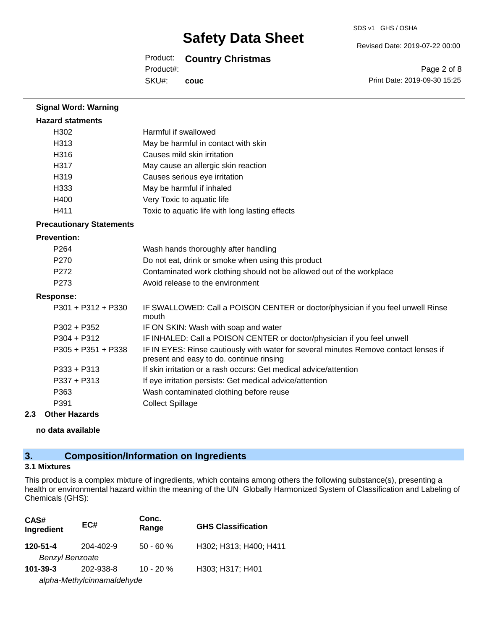### Product: **Country Christmas**

SKU#: Product#: **couc** Revised Date: 2019-07-22 00:00

SDS v1 GHS / OSHA

Page 2 of 8 Print Date: 2019-09-30 15:25

| <b>Signal Word: Warning</b>     |                                                                                                                                  |
|---------------------------------|----------------------------------------------------------------------------------------------------------------------------------|
| <b>Hazard statments</b>         |                                                                                                                                  |
| H302                            | Harmful if swallowed                                                                                                             |
| H313                            | May be harmful in contact with skin                                                                                              |
| H316                            | Causes mild skin irritation                                                                                                      |
| H317                            | May cause an allergic skin reaction                                                                                              |
| H <sub>319</sub>                | Causes serious eye irritation                                                                                                    |
| H333                            | May be harmful if inhaled                                                                                                        |
| H400                            | Very Toxic to aquatic life                                                                                                       |
| H411                            | Toxic to aquatic life with long lasting effects                                                                                  |
| <b>Precautionary Statements</b> |                                                                                                                                  |
| <b>Prevention:</b>              |                                                                                                                                  |
| P <sub>264</sub>                | Wash hands thoroughly after handling                                                                                             |
| P <sub>270</sub>                | Do not eat, drink or smoke when using this product                                                                               |
| P <sub>272</sub>                | Contaminated work clothing should not be allowed out of the workplace                                                            |
| P273                            | Avoid release to the environment                                                                                                 |
| Response:                       |                                                                                                                                  |
| $P301 + P312 + P330$            | IF SWALLOWED: Call a POISON CENTER or doctor/physician if you feel unwell Rinse<br>mouth                                         |
| $P302 + P352$                   | IF ON SKIN: Wash with soap and water                                                                                             |
| $P304 + P312$                   | IF INHALED: Call a POISON CENTER or doctor/physician if you feel unwell                                                          |
| $P305 + P351 + P338$            | IF IN EYES: Rinse cautiously with water for several minutes Remove contact lenses if<br>present and easy to do. continue rinsing |
| $P333 + P313$                   | If skin irritation or a rash occurs: Get medical advice/attention                                                                |
| $P337 + P313$                   | If eye irritation persists: Get medical advice/attention                                                                         |
| P363                            | Wash contaminated clothing before reuse                                                                                          |
| P391                            | <b>Collect Spillage</b>                                                                                                          |
|                                 |                                                                                                                                  |

#### **2.3 Other Hazards**

**no data available**

## **3. Composition/Information on Ingredients**

#### **3.1 Mixtures**

This product is a complex mixture of ingredients, which contains among others the following substance(s), presenting a health or environmental hazard within the meaning of the UN Globally Harmonized System of Classification and Labeling of Chemicals (GHS):

| CAS#<br>Ingredient     | EC#                        | Conc.<br>Range | <b>GHS Classification</b> |
|------------------------|----------------------------|----------------|---------------------------|
| 120-51-4               | 204-402-9                  | $50 - 60 %$    | H302; H313; H400; H411    |
| <b>Benzyl Benzoate</b> |                            |                |                           |
| $101 - 39 - 3$         | 202-938-8                  | $10 - 20%$     | H303; H317; H401          |
|                        | alpha-Methylcinnamaldehyde |                |                           |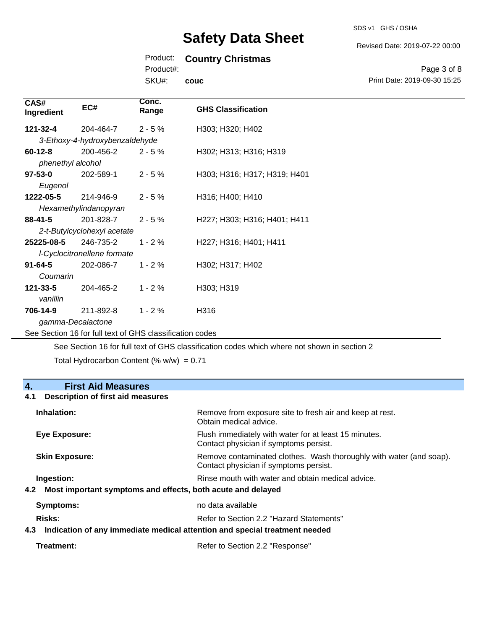## Product: **Country Christmas**

Product#:

SKU#: **couc**

## Revised Date: 2019-07-22 00:00

Page 3 of 8 Print Date: 2019-09-30 15:25

| CAS#<br>Ingredient                                       | EC#                            | Conc.<br>Range | <b>GHS Classification</b>    |
|----------------------------------------------------------|--------------------------------|----------------|------------------------------|
| 121-32-4                                                 | 204-464-7                      | $2 - 5%$       | H303; H320; H402             |
|                                                          | 3-Ethoxy-4-hydroxybenzaldehyde |                |                              |
| $60 - 12 - 8$                                            | 200-456-2                      | $2 - 5%$       | H302; H313; H316; H319       |
| phenethyl alcohol                                        |                                |                |                              |
| $97 - 53 - 0$                                            | 202-589-1                      | $2 - 5%$       | H303; H316; H317; H319; H401 |
| Eugenol                                                  |                                |                |                              |
| 1222-05-5                                                | 214-946-9                      | $2 - 5%$       | H316; H400; H410             |
|                                                          | Hexamethylindanopyran          |                |                              |
| $88 - 41 - 5$                                            | 201-828-7                      | $2 - 5%$       | H227; H303; H316; H401; H411 |
| 2-t-Butylcyclohexyl acetate                              |                                |                |                              |
| 25225-08-5                                               | 246-735-2                      | $1 - 2%$       | H227; H316; H401; H411       |
| I-Cyclocitronellene formate                              |                                |                |                              |
| $91 - 64 - 5$                                            | 202-086-7                      | $1 - 2%$       | H302; H317; H402             |
| Coumarin                                                 |                                |                |                              |
| $121 - 33 - 5$                                           | 204-465-2                      | $1 - 2%$       | H303; H319                   |
| vanillin                                                 |                                |                |                              |
| 706-14-9                                                 | 211-892-8                      | $1 - 2%$       | H316                         |
| gamma-Decalactone                                        |                                |                |                              |
| See Section 16 for full text of GHS classification codes |                                |                |                              |

See Section 16 for full text of GHS classification codes which where not shown in section 2

Total Hydrocarbon Content (%  $w/w$ ) = 0.71

## **4. First Aid Measures**

#### **4.1 Description of first aid measures**

| Inhalation:           | Remove from exposure site to fresh air and keep at rest.<br>Obtain medical advice.                            |
|-----------------------|---------------------------------------------------------------------------------------------------------------|
| Eye Exposure:         | Flush immediately with water for at least 15 minutes.<br>Contact physician if symptoms persist.               |
| <b>Skin Exposure:</b> | Remove contaminated clothes. Wash thoroughly with water (and soap).<br>Contact physician if symptoms persist. |
| Ingestion:            | Rinse mouth with water and obtain medical advice.                                                             |
| 4.2                   | Most important symptoms and effects, both acute and delayed                                                   |
| Symptoms:             | no data available                                                                                             |
| Risks:                | Refer to Section 2.2 "Hazard Statements"                                                                      |
| 4.3                   | Indication of any immediate medical attention and special treatment needed                                    |

SDS v1 GHS / OSHA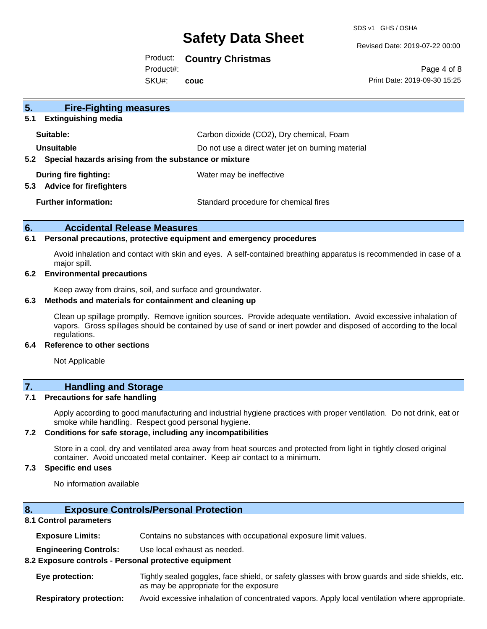SDS v1 GHS / OSHA

Revised Date: 2019-07-22 00:00

### Product: **Country Christmas**

Product#:

SKU#: **couc**

Page 4 of 8 Print Date: 2019-09-30 15:25

| 5 <sub>1</sub><br><b>Fire-Fighting measures</b><br><b>Extinguishing media</b><br>5.1 |                                                   |
|--------------------------------------------------------------------------------------|---------------------------------------------------|
| Suitable:                                                                            | Carbon dioxide (CO2), Dry chemical, Foam          |
| Unsuitable<br>Special hazards arising from the substance or mixture<br>$5.2^{\circ}$ | Do not use a direct water jet on burning material |
| During fire fighting:<br><b>Advice for firefighters</b><br>5.3                       | Water may be ineffective                          |
| <b>Further information:</b>                                                          | Standard procedure for chemical fires             |

#### **6. Accidental Release Measures**

#### **6.1 Personal precautions, protective equipment and emergency procedures**

Avoid inhalation and contact with skin and eyes. A self-contained breathing apparatus is recommended in case of a major spill.

#### **6.2 Environmental precautions**

Keep away from drains, soil, and surface and groundwater.

#### **6.3 Methods and materials for containment and cleaning up**

Clean up spillage promptly. Remove ignition sources. Provide adequate ventilation. Avoid excessive inhalation of vapors. Gross spillages should be contained by use of sand or inert powder and disposed of according to the local regulations.

#### **6.4 Reference to other sections**

Not Applicable

### **7. Handling and Storage**

#### **7.1 Precautions for safe handling**

Apply according to good manufacturing and industrial hygiene practices with proper ventilation. Do not drink, eat or smoke while handling. Respect good personal hygiene.

#### **7.2 Conditions for safe storage, including any incompatibilities**

Store in a cool, dry and ventilated area away from heat sources and protected from light in tightly closed original container. Avoid uncoated metal container. Keep air contact to a minimum.

#### **7.3 Specific end uses**

No information available

#### **8. Exposure Controls/Personal Protection**

#### **8.1 Control parameters**

**Exposure Limits:** Contains no substances with occupational exposure limit values.

**Engineering Controls:** Use local exhaust as needed.

#### **8.2 Exposure controls - Personal protective equipment**

**Eye protection:** Tightly sealed goggles, face shield, or safety glasses with brow guards and side shields, etc. as may be appropriate for the exposure

**Respiratory protection:** Avoid excessive inhalation of concentrated vapors. Apply local ventilation where appropriate.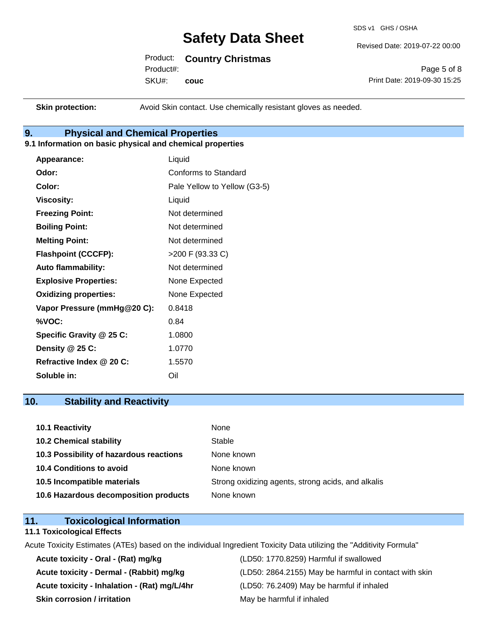SDS v1 GHS / OSHA

Revised Date: 2019-07-22 00:00

| Product: |  | <b>Country Christmas</b> |
|----------|--|--------------------------|
|----------|--|--------------------------|

Product#:

Page 5 of 8 Print Date: 2019-09-30 15:25

SKU#: **couc**

**Skin protection:** Avoid Skin contact. Use chemically resistant gloves as needed.

### **9. Physical and Chemical Properties**

#### **9.1 Information on basic physical and chemical properties**

| Appearance:                  | Liquid                       |
|------------------------------|------------------------------|
| Odor:                        | Conforms to Standard         |
| Color:                       | Pale Yellow to Yellow (G3-5) |
| <b>Viscosity:</b>            | Liquid                       |
| <b>Freezing Point:</b>       | Not determined               |
| <b>Boiling Point:</b>        | Not determined               |
| <b>Melting Point:</b>        | Not determined               |
| <b>Flashpoint (CCCFP):</b>   | >200 F (93.33 C)             |
| <b>Auto flammability:</b>    | Not determined               |
| <b>Explosive Properties:</b> | None Expected                |
| <b>Oxidizing properties:</b> | None Expected                |
| Vapor Pressure (mmHg@20 C):  | 0.8418                       |
| %VOC:                        | 0.84                         |
| Specific Gravity @ 25 C:     | 1.0800                       |
| Density @ 25 C:              | 1.0770                       |
| Refractive Index @ 20 C:     | 1.5570                       |
| Soluble in:                  | Oil                          |

### **10. Stability and Reactivity**

| 10.1 Reactivity                         | None                                               |
|-----------------------------------------|----------------------------------------------------|
| <b>10.2 Chemical stability</b>          | Stable                                             |
| 10.3 Possibility of hazardous reactions | None known                                         |
| <b>10.4 Conditions to avoid</b>         | None known                                         |
| 10.5 Incompatible materials             | Strong oxidizing agents, strong acids, and alkalis |
| 10.6 Hazardous decomposition products   | None known                                         |

### **11. Toxicological Information**

#### **11.1 Toxicological Effects**

Acute Toxicity Estimates (ATEs) based on the individual Ingredient Toxicity Data utilizing the "Additivity Formula"

**Acute toxicity - Oral - (Rat) mg/kg** (LD50: 1770.8259) Harmful if swallowed **Acute toxicity - Inhalation - (Rat) mg/L/4hr** (LD50: 76.2409) May be harmful if inhaled **Skin corrosion / irritation** May be harmful if inhaled

Acute toxicity - Dermal - (Rabbit) mg/kg <br>
(LD50: 2864.2155) May be harmful in contact with skin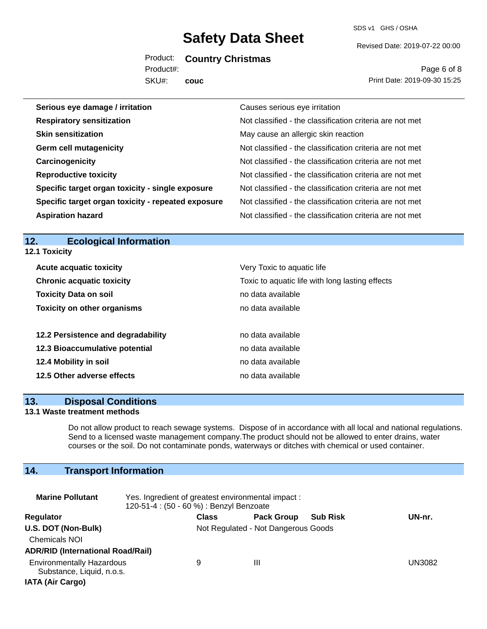SDS v1 GHS / OSHA

Revised Date: 2019-07-22 00:00

Product: **Country Christmas**

Product#:

SKU#: **couc**

Page 6 of 8 Print Date: 2019-09-30 15:25

| Serious eye damage / irritation                    | Causes serious eye irritation                            |
|----------------------------------------------------|----------------------------------------------------------|
| <b>Respiratory sensitization</b>                   | Not classified - the classification criteria are not met |
| <b>Skin sensitization</b>                          | May cause an allergic skin reaction                      |
| <b>Germ cell mutagenicity</b>                      | Not classified - the classification criteria are not met |
| Carcinogenicity                                    | Not classified - the classification criteria are not met |
| <b>Reproductive toxicity</b>                       | Not classified - the classification criteria are not met |
| Specific target organ toxicity - single exposure   | Not classified - the classification criteria are not met |
| Specific target organ toxicity - repeated exposure | Not classified - the classification criteria are not met |
| <b>Aspiration hazard</b>                           | Not classified - the classification criteria are not met |

#### **12. Ecological Information 12.1 Toxicity**

| <b>Acute acquatic toxicity</b>     | Very Toxic to aquatic life                      |
|------------------------------------|-------------------------------------------------|
| <b>Chronic acquatic toxicity</b>   | Toxic to aquatic life with long lasting effects |
| <b>Toxicity Data on soil</b>       | no data available                               |
| <b>Toxicity on other organisms</b> | no data available                               |
|                                    |                                                 |
| 12.2 Persistence and degradability | no data available                               |
| 12.3 Bioaccumulative potential     | no data available                               |
| 12.4 Mobility in soil              | no data available                               |
| 12.5 Other adverse effects         | no data available                               |

#### **13. Disposal Conditions**

#### **13.1 Waste treatment methods**

Do not allow product to reach sewage systems. Dispose of in accordance with all local and national regulations. Send to a licensed waste management company.The product should not be allowed to enter drains, water courses or the soil. Do not contaminate ponds, waterways or ditches with chemical or used container.

## **14. Transport Information**

| <b>Marine Pollutant</b>                                                                  | Yes. Ingredient of greatest environmental impact:<br>120-51-4 : (50 - 60 %) : Benzyl Benzoate |                                     |                   |                 |        |
|------------------------------------------------------------------------------------------|-----------------------------------------------------------------------------------------------|-------------------------------------|-------------------|-----------------|--------|
| Regulator                                                                                |                                                                                               | <b>Class</b>                        | <b>Pack Group</b> | <b>Sub Risk</b> | UN-nr. |
| U.S. DOT (Non-Bulk)<br><b>Chemicals NOI</b><br><b>ADR/RID (International Road/Rail)</b>  |                                                                                               | Not Regulated - Not Dangerous Goods |                   |                 |        |
| <b>Environmentally Hazardous</b><br>Substance, Liquid, n.o.s.<br><b>IATA (Air Cargo)</b> |                                                                                               | 9                                   | Ш                 |                 | UN3082 |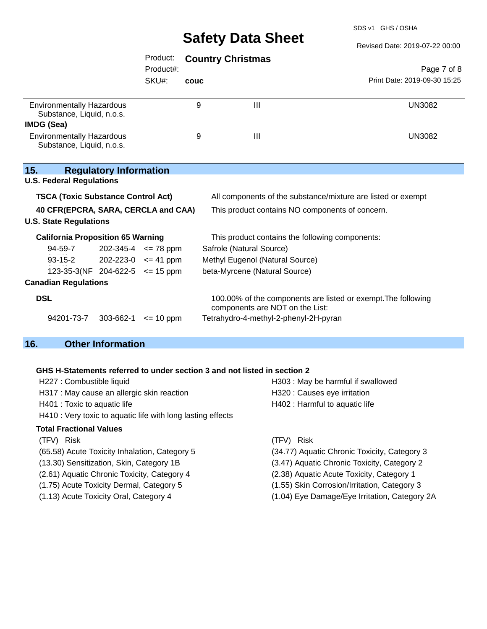SDS v1 GHS / OSHA

|                                                                      |                             |      | <b>Salety Data Slieet</b>                                                                        | Revised Date: 2019-07-22 00:00 |
|----------------------------------------------------------------------|-----------------------------|------|--------------------------------------------------------------------------------------------------|--------------------------------|
|                                                                      | Product:<br>Product#:       |      | <b>Country Christmas</b>                                                                         | Page 7 of 8                    |
|                                                                      | SKU#:                       | couc |                                                                                                  | Print Date: 2019-09-30 15:25   |
| <b>Environmentally Hazardous</b><br>Substance, Liquid, n.o.s.        |                             | 9    | $\mathbf{III}$                                                                                   | <b>UN3082</b>                  |
| <b>IMDG (Sea)</b>                                                    |                             |      |                                                                                                  |                                |
| <b>Environmentally Hazardous</b><br>Substance, Liquid, n.o.s.        |                             | 9    | Ш                                                                                                | <b>UN3082</b>                  |
| <b>Regulatory Information</b><br>15.                                 |                             |      |                                                                                                  |                                |
| <b>U.S. Federal Regulations</b>                                      |                             |      |                                                                                                  |                                |
| <b>TSCA (Toxic Substance Control Act)</b>                            |                             |      | All components of the substance/mixture are listed or exempt                                     |                                |
| 40 CFR(EPCRA, SARA, CERCLA and CAA)<br><b>U.S. State Regulations</b> |                             |      | This product contains NO components of concern.                                                  |                                |
| <b>California Proposition 65 Warning</b>                             |                             |      | This product contains the following components:                                                  |                                |
| 94-59-7                                                              | $202 - 345 - 4 \le 78$ ppm  |      | Safrole (Natural Source)                                                                         |                                |
| $93 - 15 - 2$                                                        | $202 - 223 - 0 \leq 41$ ppm |      | Methyl Eugenol (Natural Source)                                                                  |                                |
| 123-35-3(NF 204-622-5 $\le$ 15 ppm                                   |                             |      | beta-Myrcene (Natural Source)                                                                    |                                |
| <b>Canadian Regulations</b>                                          |                             |      |                                                                                                  |                                |
| <b>DSL</b>                                                           |                             |      | 100.00% of the components are listed or exempt. The following<br>components are NOT on the List: |                                |
| 94201-73-7<br>303-662-1                                              | $\leq$ 10 ppm               |      | Tetrahydro-4-methyl-2-phenyl-2H-pyran                                                            |                                |

## **16. Other Information**

**15.** 

#### **GHS H-Statements referred to under section 3 and not listed in section 2**

| H227 : Combustible liquid                                   | H303: May be harmful if swallowed            |
|-------------------------------------------------------------|----------------------------------------------|
| H317 : May cause an allergic skin reaction                  | H320 : Causes eye irritation                 |
| H401 : Toxic to aquatic life                                | H402 : Harmful to aquatic life               |
| H410 : Very toxic to aquatic life with long lasting effects |                                              |
| Total Fractional Values                                     |                                              |
| (TFV) Risk                                                  | <b>Risk</b><br>(TFV).                        |
| (65.58) Acute Toxicity Inhalation, Category 5               | (34.77) Aquatic Chronic Toxicity, Category 3 |
| (13.30) Sensitization, Skin, Category 1B                    | (3.47) Aquatic Chronic Toxicity, Category 2  |
| (2.61) Aquatic Chronic Toxicity, Category 4                 | (2.38) Aquatic Acute Toxicity, Category 1    |
| (1.75) Acute Toxicity Dermal, Category 5                    | (1.55) Skin Corrosion/Irritation, Category 3 |

- 
- 
- 
- 
- (1.13) Acute Toxicity Oral, Category 4 (1.04) Eye Damage/Eye Irritation, Category 2A